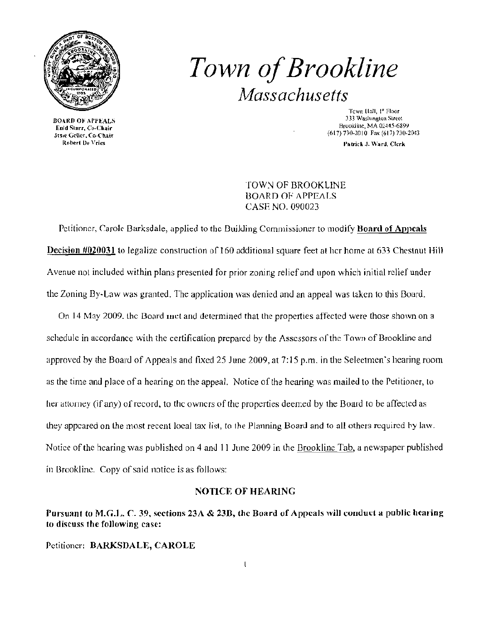

**BOARD OF APPEALS** Enid Starr, Co-Chair Jtsse Geller, Co-Chair<br>- Robert De Vries

# *Town ofBrookline Massachusetts*

Tcwn [tall, I' Floor 333 Washington Street Brookline, MA 02445-6899 (617) 730-2010 Fax (617) 730-2043

Patrick J. Ward, Clerk

TOWN OF BROOKLINE BOARD OF APPEALS CASE NO. 090023

Petitioner, Carole Barksdale, applied to the Building Commissioner to modify Board of Appeals Decision #020031 to legalize construction of 160 additional square feet at her home at 633 Chestnut Hill Avenue not included within plans presented for prior zoning relief and upon which initial relief under the Zoning By-Law was granted. The application was denied and an appeal was taken to this Board.

On 14 May 2009, the Board inct and determined that the properties affected were those shown on a schedule in accordance with the certification prepared by the Assessors of the Town of Brookline and approved by the Boaru of Appeals and fixed 25 June 2009, at 7: 15 p.m. in the Seleetmen's hearing room as the time and place of a hearing on the appeal. Notice of the hearing was mailed to the Petitioner, to her attorney (if any) of record, to the owners of the properties deemed by the Board to be affected as they appeared on the most recent local tax list, to the Planning Board and to all others required by law. Notice of the hearing was published on 4 and 11 June 2009 in the Brookline Tab, a newspaper published in Brookline. Copy of said notice is as follows:

#### NOTICE OF HEARING

#### Pursuant to M.G.L. C. 39, sections 23A & 23B, the Board of Appeals will conduct a public hearing 10 discuss the following case:

Petitioner: BARKSDALE, CAROLE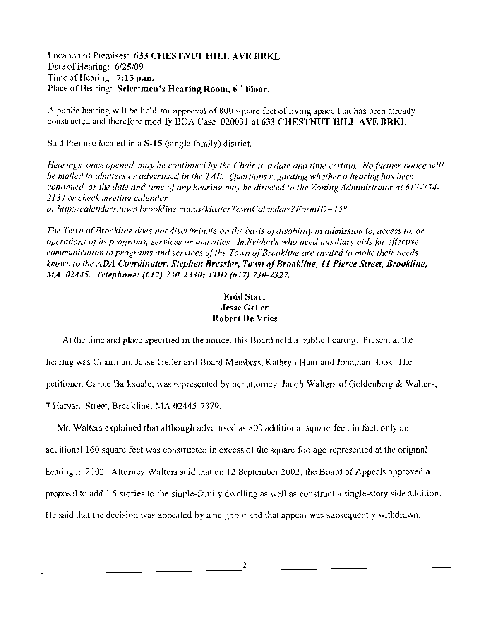Location of Piemises: 633 CHESTNUT HILL AVE BRKL Date of Hearing: 6/25/09 Time of Hearing: 7:15 p.m. Place of Hearing: Selectmen's Hearing Room,  $6<sup>th</sup>$  Floor.

A public hearing will be held for approval of 800 squarc feet of living space that has been already constructed and therefore modify BOA Case 020031 at 633 CHESTNUT HILL AVE BRKL

Said Premise located in a S·15 (single family) district.

*Hearings, once opened, may be continued by the Chair to a date and time certain. No further notice will* be mailed to abutters or advertised in the TAB. Questions regarding whether a hearing has been *continued. or the date and time of any hearing may be directed to the Zoning Administrator at 617-734-2134 or check meeting calendar*  at:http://calendars.town.brookline ma.us/MasterTownCalandar/?FormID-158.

*The Town of Brookline does not discriminate on the basis of disability in admission to, access to, or operations of its programs, services or activities. Individuals who need auxiliary aids for effective communication in programs and services of the Town of Brookline are invited to make their needs known to the ADA Coordinator, Stephen Bressler, Town of Brookline, 11 Pierce Street, Brookline, MA 02445. Tc/'ph.,,,:* (617) *730-2330; TDD* (617) *730-2327.* 

### **Enid Starr** Jesse Geller Robert De Vries

At the time and place specified in the notice, this Board held a public licaring. Present at the hearing was Chairman, Jesse Geller and Board Members, Kathryn Ham and Jonathan Book. The petitioner, Carole Barksdale, was represented by her attorney, Jacob Walters of Goldenberg & Walters, 7 Harvard Street, Brookline, MA 02445-7379.

Mr. Walters explained that although advertised as 800 additional square feet, in fact, only an additional 160 square feet was constructed in excess of the square footage represented at the original hearing in 2002. Attorney Walters said that on 12 September 2002, the Board of Appeals approved a proposal to add 1.5 stories to the single-family dwelling as well as construct a single-slory side aJdilion. He said that the decision was appealed by a neighbor and that appeal was subsequently withdrawn,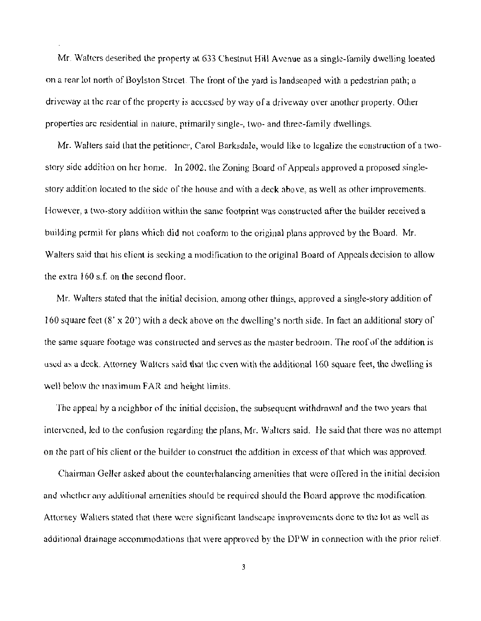Mr. Walters deseribed the property at 633 Chestnut Hill Avenue as a single-family dwelling loeated on a rear lot north of Boylston Strcet. The front of the yard is landscaped with a pedestrian path; a driveway at the rear of the property is accessed by way of a driveway over another property, Other properties are residential in nature, primarily single-, two- and three-family dwellings.

Mr. Walters said that the petitioner, Carol Barksdale, would like to legalize the equitation of a twostory side addition on her home. In 2002, the Zoning Board of Appeals approved a proposed singlestory addition located to the side of the house and with a deck above, as well as other improvements. However, a two-story addition within the same footprint was constructed after the builder received a building permit for plans which did not conform to the original plans approved by the Board, Mr. Walters said that his client is seeking a modification to the original Board of Appeals decision to allow the extra  $160$  s.f. on the second floor.

Mr. Walters stated that the initial decision, among other things, approved a single-story addition of 160 square feet  $(8' \times 20')$  with a deck above on the dwelling's north side. In fact an additional story of the same square footage was constructed and serves as the master bedroom. The roaf of the addition is used as a deck. Attorney Walters said that the even with the additional 160 square feet, the dwelling is well below the maximum FAR and height limits.

The appeal by a neighbor of the initial decision, the subsequent withdrawal and the two years that intervened, led to the confusion regarding the plans, Mr. Walters said. He said that there was no attempt on the part of his client or the builder to construct the addition in excess of that which was approved.

Chairman Geller asked about the counterhalancing amenities that wcre alTered in the initial decision and whether any additional amenities should be required should the Board approve the modification. Attorney Walters stated that there were significant landscape improvements done to the lot as well as additional drainage accommodations that were approved by the DPW in connection with the prior relief.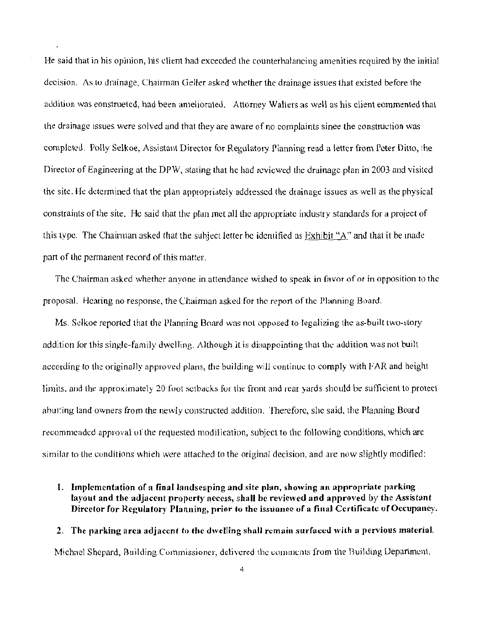He said that in his opinion, his client had exceeded the counterhalancing amenities required by the initial decision. As to drainage, Chairman Geller asked whether the drainage issues that existed before the addition was eonstrueted, had been ameliorated. Attorney Walters as well as his client eommented that the drainage issues were solved and that they are aware of no complaints sinee the construction was completed. Polly Selkoe, Assistant Director for Regulatory Pianning read a letter from Peter Ditto, the Director of Engineering at the DPW, stating that he had reviewed the drainage plan in 2003 and visited the site. He determined that the plan appropriately addressed the drainage issues as well as the physical constraints ofthe site. He said that the plan met alllhe appropriate indusiry standards for a project of this type. The Chainnan asked that the suhject letter be identified as Exhibit "A" and that it be made: part of the permanent record of this matter.

The Chairman asked whether anyone in attendance wished to speak in favor of or in opposition to the proposal. Hearing no response, the Chairman asked for the report of thc l)lanning Board.

Ms. Selkoe reported that the Planning Board was not opposed to legalizing the as-built two-story addition for this single-family dwelling. Although it is disappointing that the addition was not built according to the originally approved plans, the building will continue to comply with FAR and height limits, and the approximately 20 foot setbacks for the front and rear yards should be sufficient to protect abutting land owners from the newly constructed addition. Therefore, she said, the Planning Board recommended approval of the requested modification, subject to the following conditions, which arc similar to the conditions whieh were attached to the original decision, and are now slightly modified:

1. Implementation of a final landseaping and site plan, showing an appropriate parking layout and the adjacent property access, shall be reviewed and approved by the Assistant Director for Regulatory Planning, prior to the issuance of a final Certificate of Occupancy.

## 2. The parking area adjacent to the dwelling shall remain surfaced with a pervious material. Michael Shepard, Building Commissioner, delivered the comments from the Building Department.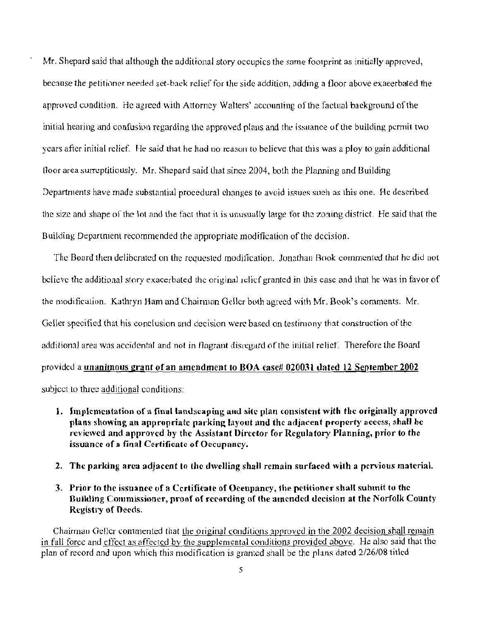Mr. Shepard said that although the additional story occupies the same footprint as initially approved, because the petitioner needed set-back relief for the side addition, adding a floor above exaeerbated the approved condition. He agreed with Attorney Walters' accounting of the factual background of the initial hearing and confusion regarding the approved plans and the issuance of the building permit two years after initial relief. He said that he had no reason to believe that this was a ploy to gain additional (loor area surreptitiously. Mr. Shepard said that since 2004, both the Planning and Building Departments have made substantial procedural elianges to avoid issues such as this one. He described the size and shape of the lot and the fact that it is unusually large for the zoning district. He said that the Building Department recommended the appropriate modification of the dccision.

The Board then deliberated on the requested modification. Jonathan Book commented that he did not believe the additional story exacerbated the original relicf granted in this case and that he was in favor of the modification. Kathryn Ham and Chairman Geller both agreed with Mr. Book's comments. Mr. Geller specified that his conclusion and decision were based on testimony that construction of the additional area was accidental and not in flagrant disregard of the initial relief. Therefore the Board provided a unanimous grant of an amendment to BOA ease# 020031 dated 12 September 2002 subjcct to three additional conditions:

- 1. Implementation of a final landscaping and site plan consistent with the originally approved plans showing an appropriate parking layout and the adjacent property access, shall be reviewed and approved by the Assistant Director for Regulatory Planning, prior to the issuance of a final Certificate of Occupancy.
- 2. The parking area adjacent to the dwelling shall remain surfaced with a pervious material.
- 3. Prior to the issuance of a Certificate of Oceupancy, the petitioner shall submit to the Building Columissioner, proof of recording of the amended decision at the Norfolk County Registry of Deeds.

Chairman Gellcr commented that the original conditions approved in the 2002 decision shall remain in full force and effect as affected by the supplemental conditions provided above. He also said that the plan of record and upon which this modification is granted shall be the plans dated 2/26/08 titled